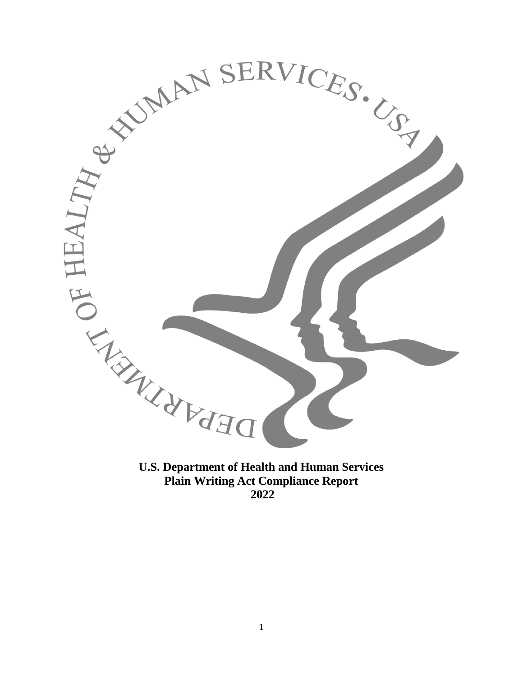

**Plain Writing Act Compliance Report**

**2022**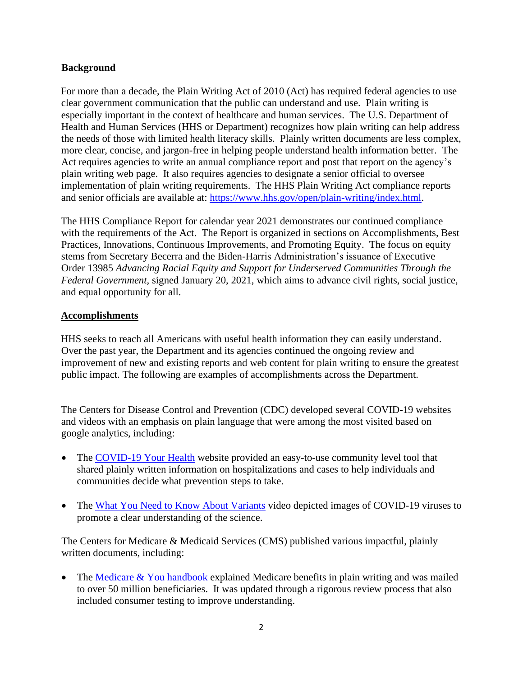### **Background**

For more than a decade, the Plain Writing Act of 2010 (Act) has required federal agencies to use clear government communication that the public can understand and use. Plain writing is especially important in the context of healthcare and human services. The U.S. Department of Health and Human Services (HHS or Department) recognizes how plain writing can help address the needs of those with limited health literacy skills. Plainly written documents are less complex, more clear, concise, and jargon-free in helping people understand health information better. The Act requires agencies to write an annual compliance report and post that report on the agency's plain writing web page. It also requires agencies to designate a senior official to oversee implementation of plain writing requirements. The HHS Plain Writing Act compliance reports and senior officials are available at: [https://www.hhs.gov/open/plain-writing/index.html.](https://www.hhs.gov/open/plain-writing/index.html)

The HHS Compliance Report for calendar year 2021 demonstrates our continued compliance with the requirements of the Act. The Report is organized in sections on Accomplishments, Best Practices, Innovations, Continuous Improvements, and Promoting Equity. The focus on equity stems from Secretary Becerra and the Biden-Harris Administration's issuance of Executive Order 13985 *Advancing Racial Equity and Support for Underserved Communities Through the Federal Government,* signed January 20, 2021, which aims to advance civil rights, social justice, and equal opportunity for all.

### **Accomplishments**

HHS seeks to reach all Americans with useful health information they can easily understand. Over the past year, the Department and its agencies continued the ongoing review and improvement of new and existing reports and web content for plain writing to ensure the greatest public impact. The following are examples of accomplishments across the Department.

The Centers for Disease Control and Prevention (CDC) developed several COVID-19 websites and videos with an emphasis on plain language that were among the most visited based on google analytics, including:

- The [COVID-19 Your Health](https://www.cdc.gov/coronavirus/2019-ncov/your-health/index.html) website provided an easy-to-use community level tool that shared plainly written information on hospitalizations and cases to help individuals and communities decide what prevention steps to take.
- The [What You Need to Know About Variants](https://www.youtube.com/watch?v=p1BMvCBrYs8) video depicted images of COVID-19 viruses to promote a clear understanding of the science.

The Centers for Medicare & Medicaid Services (CMS) published various impactful, plainly written documents, including:

• The [Medicare & You handbook](https://www.medicare.gov/Pubs/pdf/10050-Medicare-and-You.pdf) explained Medicare benefits in plain writing and was mailed to over 50 million beneficiaries. It was updated through a rigorous review process that also included consumer testing to improve understanding.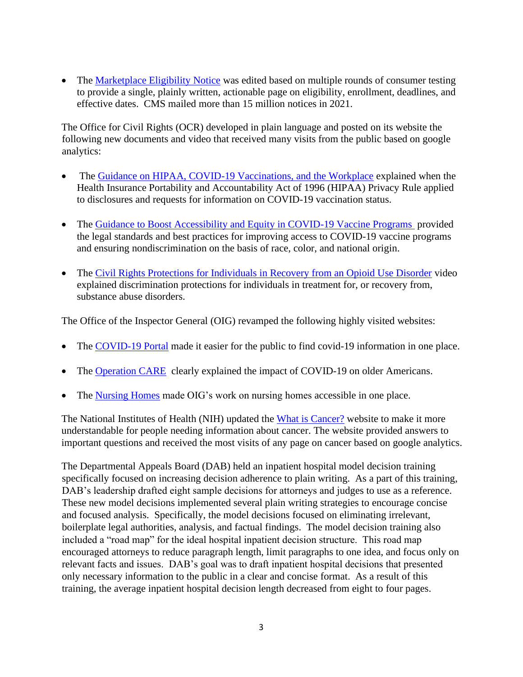The [Marketplace Eligibility Notice](https://marketplace.cms.gov/applications-and-forms/2021-eligibility-determination-notice.zip) was edited based on multiple rounds of consumer testing to provide a single, plainly written, actionable page on eligibility, enrollment, deadlines, and effective dates. CMS mailed more than 15 million notices in 2021.

The Office for Civil Rights (OCR) developed in plain language and posted on its website the following new documents and video that received many visits from the public based on google analytics:

- The [Guidance on HIPAA, COVID-19 Vaccinations, and the Workplace](https://www.hhs.gov/hipaa/for-professionals/privacy/guidance/hipaa-covid-19-vaccination-workplace/index.html) explained when the Health Insurance Portability and Accountability Act of 1996 (HIPAA) Privacy Rule applied to disclosures and requests for information on COVID-19 vaccination status.
- The [Guidance to Boost Accessibility and Equity in COVID-19 Vaccine Programs](https://www.hhs.gov/civil-rights/for-providers/civil-rights-covid19/guidance-federal-legal-standards-covid-19-vaccination-programs/index.html) provided the legal standards and best practices for improving access to COVID-19 vaccine programs and ensuring nondiscrimination on the basis of race, color, and national origin.
- [The Civil Rights Protections for Individuals in Recovery from an Opioid Use Disorder](https://www.hhs.gov/civil-rights/for-individuals/special-topics/opioids/index.html) video explained discrimination protections for individuals in treatment for, or recovery from, substance abuse disorders.

The Office of the Inspector General (OIG) revamped the following highly visited websites:

- The [COVID-19 Portal](https://oig.hhs.gov/coronavirus/index.asp) made it easier for the public to find covid-19 information in one place.
- The [Operation CARE](https://oig.hhs.gov/fraud/care/index.asp) clearly explained the impact of COVID-19 on older Americans.
- The [Nursing Homes](https://oig.hhs.gov/reports-and-publications/featured-topics/nursing-homes/) made OIG's work on nursing homes accessible in one place.

The National Institutes of Health (NIH) updated the [What is Cancer?](https://www.cancer.gov/about-cancer/understanding/what-is-cancer) website to make it more understandable for people needing information about cancer. The website provided answers to important questions and received the most visits of any page on cancer based on google analytics.

The Departmental Appeals Board (DAB) held an inpatient hospital model decision training specifically focused on increasing decision adherence to plain writing. As a part of this training, DAB's leadership drafted eight sample decisions for attorneys and judges to use as a reference. These new model decisions implemented several plain writing strategies to encourage concise and focused analysis. Specifically, the model decisions focused on eliminating irrelevant, boilerplate legal authorities, analysis, and factual findings. The model decision training also included a "road map" for the ideal hospital inpatient decision structure. This road map encouraged attorneys to reduce paragraph length, limit paragraphs to one idea, and focus only on relevant facts and issues. DAB's goal was to draft inpatient hospital decisions that presented only necessary information to the public in a clear and concise format. As a result of this training, the average inpatient hospital decision length decreased from eight to four pages.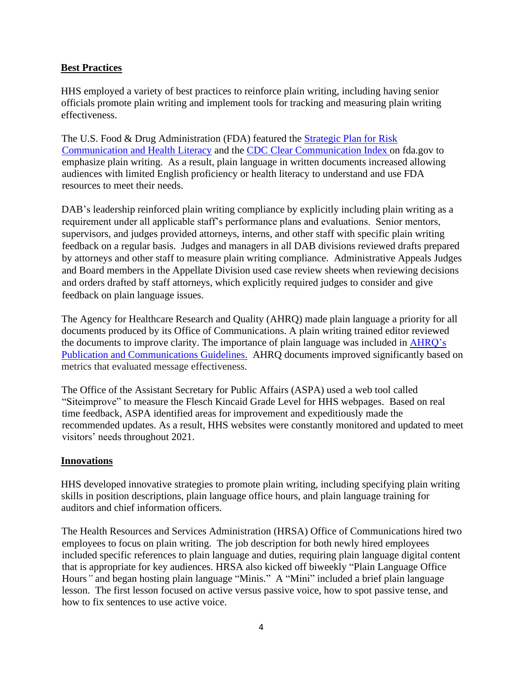## **Best Practices**

HHS employed a variety of best practices to reinforce plain writing, including having senior officials promote plain writing and implement tools for tracking and measuring plain writing effectiveness.

The U.S. Food & Drug Administration (FDA) featured the [Strategic Plan for Risk](https://www.fda.gov/downloads/AboutFDA/ReportsManualsForms/Reports/UCM579719.pdf)  [Communication and Health Literacy](https://www.fda.gov/downloads/AboutFDA/ReportsManualsForms/Reports/UCM579719.pdf) and the CDC [Clear Communication Index](https://www.cdc.gov/ccindex/index.html) on fda.gov to emphasize plain writing. As a result, plain language in written documents increased allowing audiences with limited English proficiency or health literacy to understand and use FDA resources to meet their needs.

DAB's leadership reinforced plain writing compliance by explicitly including plain writing as a requirement under all applicable staff's performance plans and evaluations. Senior mentors, supervisors, and judges provided attorneys, interns, and other staff with specific plain writing feedback on a regular basis. Judges and managers in all DAB divisions reviewed drafts prepared by attorneys and other staff to measure plain writing compliance. Administrative Appeals Judges and Board members in the Appellate Division used case review sheets when reviewing decisions and orders drafted by staff attorneys, which explicitly required judges to consider and give feedback on plain language issues.

The Agency for Healthcare Research and Quality (AHRQ) made plain language a priority for all documents produced by its Office of Communications. A plain writing trained editor reviewed the documents to improve clarity. The importance of plain language was included in [AHRQ's](https://www.ahrq.gov/research/publications/pubcomguide/pcguide1.html#_Toc7696898a) [Publication and Communications Guidelines.](https://www.ahrq.gov/research/publications/pubcomguide/pcguide1.html#_Toc7696898a) AHRQ documents improved significantly based on metrics that evaluated message effectiveness.

The Office of the Assistant Secretary for Public Affairs (ASPA) used a web tool called "Siteimprove" to measure the Flesch Kincaid Grade Level for HHS webpages. Based on real time feedback, ASPA identified areas for improvement and expeditiously made the recommended updates. As a result, HHS websites were constantly monitored and updated to meet visitors' needs throughout 2021.

## **Innovations**

HHS developed innovative strategies to promote plain writing, including specifying plain writing skills in position descriptions, plain language office hours, and plain language training for auditors and chief information officers.

The Health Resources and Services Administration (HRSA) Office of Communications hired two employees to focus on plain writing. The job description for both newly hired employees included specific references to plain language and duties, requiring plain language digital content that is appropriate for key audiences. HRSA also kicked off biweekly "Plain Language Office Hours*"* and began hosting plain language "Minis." A "Mini" included a brief plain language lesson. The first lesson focused on active versus passive voice, how to spot passive tense, and how to fix sentences to use active voice.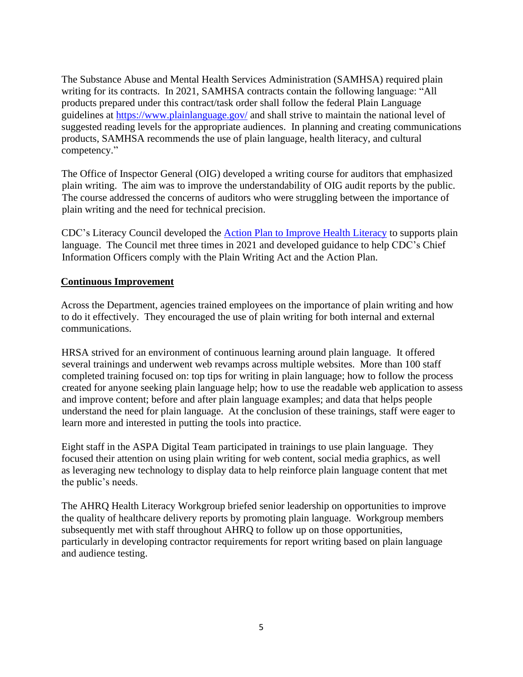The Substance Abuse and Mental Health Services Administration (SAMHSA) required plain writing for its contracts. In 2021, SAMHSA contracts contain the following language: "All products prepared under this contract/task order shall follow the federal Plain Language guidelines at<https://www.plainlanguage.gov/> and shall strive to maintain the national level of suggested reading levels for the appropriate audiences. In planning and creating communications products, SAMHSA recommends the use of plain language, health literacy, and cultural competency."

The Office of Inspector General (OIG) developed a writing course for auditors that emphasized plain writing. The aim was to improve the understandability of OIG audit reports by the public. The course addressed the concerns of auditors who were struggling between the importance of plain writing and the need for technical precision.

CDC's Literacy Council developed the **Action Plan to Improve Health Literacy** to supports plain language. The Council met three times in 2021 and developed guidance to help CDC's Chief Information Officers comply with the Plain Writing Act and the Action Plan.

### **Continuous Improvement**

Across the Department, agencies trained employees on the importance of plain writing and how to do it effectively. They encouraged the use of plain writing for both internal and external communications.

HRSA strived for an environment of continuous learning around plain language. It offered several trainings and underwent web revamps across multiple websites. More than 100 staff completed training focused on: top tips for writing in plain language; how to follow the process created for anyone seeking plain language help; how to use the readable web application to assess and improve content; before and after plain language examples; and data that helps people understand the need for plain language. At the conclusion of these trainings, staff were eager to learn more and interested in putting the tools into practice.

Eight staff in the ASPA Digital Team participated in trainings to use plain language. They focused their attention on using plain writing for web content, social media graphics, as well as leveraging new technology to display data to help reinforce plain language content that met the public's needs.

The AHRQ Health Literacy Workgroup briefed senior leadership on opportunities to improve the quality of healthcare delivery reports by promoting plain language. Workgroup members subsequently met with staff throughout AHRQ to follow up on those opportunities, particularly in developing contractor requirements for report writing based on plain language and audience testing.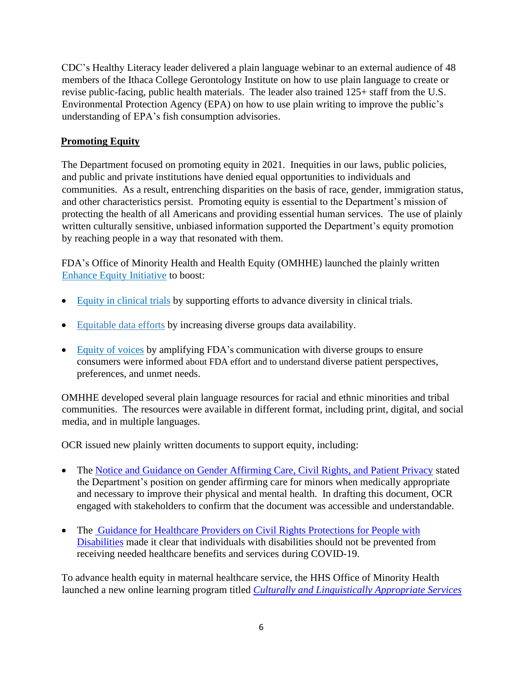CDC's Healthy Literacy leader delivered a plain language webinar to an external audience of 48 members of the Ithaca College Gerontology Institute on how to use plain language to create or revise public-facing, public health materials. The leader also trained 125+ staff from the U.S. Environmental Protection Agency (EPA) on how to use plain writing to improve the public's understanding of EPA's fish consumption advisories.

# **Promoting Equity**

The Department focused on promoting equity in 2021. Inequities in our laws, public policies, and public and private institutions have denied equal opportunities to individuals and communities. As a result, entrenching disparities on the basis of race, gender, immigration status, and other characteristics persist. Promoting equity is essential to the Department's mission of protecting the health of all Americans and providing essential human services. The use of plainly written culturally sensitive, unbiased information supported the Department's equity promotion by reaching people in a way that resonated with them.

FDA's Office of Minority Health and Health Equity (OMHHE) launched the plainly written [Enhance Equity Initiative](https://www.fda.gov/consumers/minority-health-and-health-equity/enhance-equity-initiative) to boost:

- Equity [in clinical](https://www.fda.gov/consumers/enhance-equity-initiative/enhance-equity-clinical-trials) trials by supporting efforts to advance diversity in clinical trials.
- Equitable [data efforts](https://www.fda.gov/consumers/enhance-equity-initiative/enhance-equitable-data-efforts) by increasing diverse groups data availability.
- Equity [of voices](https://www.fda.gov/consumers/enhance-equity-initiative/enhance-equity-voices) by amplifying FDA's communication with diverse groups to ensure consumers were informed about FDA effort and to understand diverse patient perspectives, preferences, and unmet needs.

OMHHE developed several plain language resources for racial and ethnic minorities and tribal communities. The resources were available in different format, including print, digital, and social media, and in multiple languages.

OCR issued new plainly written documents to support equity, including:

- The [Notice and Guidance on Gender Affirming Care, Civil Rights, and Patient Privacy](file:///C:/Users/Ekaterini.Malliou/OneDrive%20-%20HHS%20Office%20of%20the%20Secretary/Desktop/hhs-ocr-notice-and-guidance-gender-affirming-care.pdf) stated the Department's position on gender affirming care for minors when medically appropriate and necessary to improve their physical and mental health. In drafting this document, OCR engaged with stakeholders to confirm that the document was accessible and understandable.
- The [Guidance for Healthcare Providers on Civil Rights Protections for People with](https://www.hhs.gov/about/news/2022/02/04/hhs-issues-new-guidance-health-care-providers-civil-rights-protections-people-disabilities.html)  [Disabilities](https://www.hhs.gov/about/news/2022/02/04/hhs-issues-new-guidance-health-care-providers-civil-rights-protections-people-disabilities.html) made it clear that individuals with disabilities should not be prevented from receiving needed healthcare benefits and services during COVID-19.

To advance health equity in maternal healthcare service, the HHS Office of Minority Health launched a new online learning program titled *[Culturally and Linguistically Appropriate Services](https://thinkculturalhealth.hhs.gov/education/maternal-health-care)*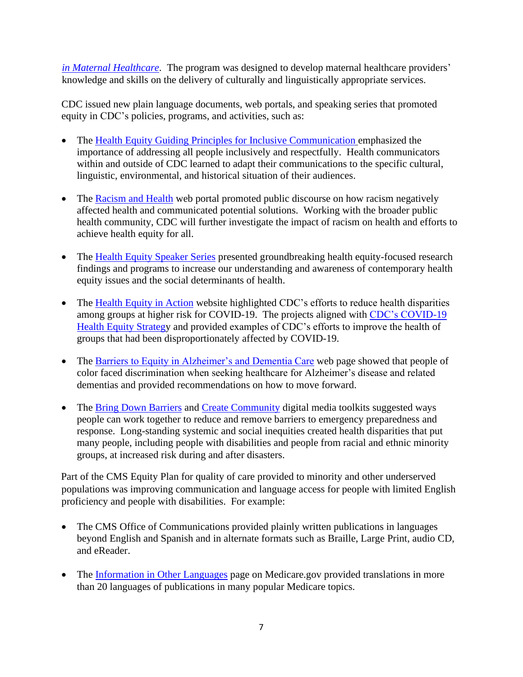*[in Maternal Healthcare](https://thinkculturalhealth.hhs.gov/education/maternal-health-care)*. The program was designed to develop maternal healthcare providers' knowledge and skills on the delivery of culturally and linguistically appropriate services.

CDC issued new plain language documents, web portals, and speaking series that promoted equity in CDC's policies, programs, and activities, such as:

- [The Health Equity Guiding Principles for Inclusive Communication](https://www.cdc.gov/healthcommunication/Health_Equity.html) emphasized the importance of addressing all people inclusively and respectfully. Health communicators within and outside of CDC learned to adapt their communications to the specific cultural, linguistic, environmental, and historical situation of their audiences.
- The [Racism and Health](https://www.cdc.gov/healthequity/racism-disparities/index.html) web portal promoted public discourse on how racism negatively affected health and communicated potential solutions. Working with the broader public health community, CDC will further investigate the impact of racism on health and efforts to achieve health equity for all.
- The [Health Equity Speaker Series](https://www.cdc.gov/nchhstp/healthdisparities/bill-jenkins-lecture.html) presented groundbreaking health equity-focused research findings and programs to increase our understanding and awareness of contemporary health equity issues and the social determinants of health.
- The [Health Equity in Action](https://t.emailupdates.cdc.gov/r/?id=h44b97e1b%2C13e6a734%2C13e85187&ACSTrackingID=USCDC_964-DM55693&ACSTrackingLabel=%20EPIC%20EXTRA%3A%20Reducing%20Health%20Disparities%20Benefits%20Everyone&s=HJ-vwBU2OhZQe3G5sL9ukk75OMUx0YoGMAxhBVtVTEo) website highlighted CDC's efforts to reduce health disparities among groups at higher risk for COVID-19. The projects aligned with [CDC's COVID-19](https://t.emailupdates.cdc.gov/r/?id=h44b97e1b%2C13e6a734%2C13e85188&ACSTrackingID=USCDC_964-DM55693&ACSTrackingLabel=%20EPIC%20EXTRA%3A%20Reducing%20Health%20Disparities%20Benefits%20Everyone&s=EAjpqOdd52xjM3tkXzIRqlGKiKPjFrjl-sdA96jBcA8)  [Health Equity Strategy](https://t.emailupdates.cdc.gov/r/?id=h44b97e1b%2C13e6a734%2C13e85188&ACSTrackingID=USCDC_964-DM55693&ACSTrackingLabel=%20EPIC%20EXTRA%3A%20Reducing%20Health%20Disparities%20Benefits%20Everyone&s=EAjpqOdd52xjM3tkXzIRqlGKiKPjFrjl-sdA96jBcA8) and provided examples of CDC's efforts to improve the health of groups that had been disproportionately affected by COVID-19.
- The [Barriers to Equity in Alzheimer's and Dementia Care](https://t.emailupdates.cdc.gov/r/?id=h463fcb0d%2C13f899b4%2C14020344&ACSTrackingID=DM56612&ACSTrackingLabel=Barriers%20to%20Equity%20in%20Alzheimer%27s%20and%20Dementia%20Care&s=4oStYB42NbC67slDxulSL9OPON8VUKYuxGEyqu7gffo) web page showed that people of color faced discrimination when seeking healthcare for Alzheimer's disease and related dementias and provided recommendations on how to move forward.
- The [Bring Down Barriers](https://www.cdc.gov/prepyourhealth/toolkits/bringdownbarriers.htm) and [Create Community](https://www.cdc.gov/prepyourhealth/toolkits/createcommunity.htm) digital media toolkits suggested ways people can work together to reduce and remove barriers to emergency preparedness and response. Long-standing systemic and social inequities created health disparities that put many people, including people with disabilities and people from racial and ethnic minority groups, at increased risk during and after disasters.

Part of the CMS Equity Plan for quality of care provided to minority and other underserved populations was improving communication and language access for people with limited English proficiency and people with disabilities. For example:

- The CMS Office of Communications provided plainly written publications in languages beyond English and Spanish and in alternate formats such as Braille, Large Print, audio CD, and eReader.
- The [Information in Other Languages](https://www.medicare.gov/about-us/information-in-other-languages) page on Medicare.gov provided translations in more than 20 languages of publications in many popular Medicare topics.